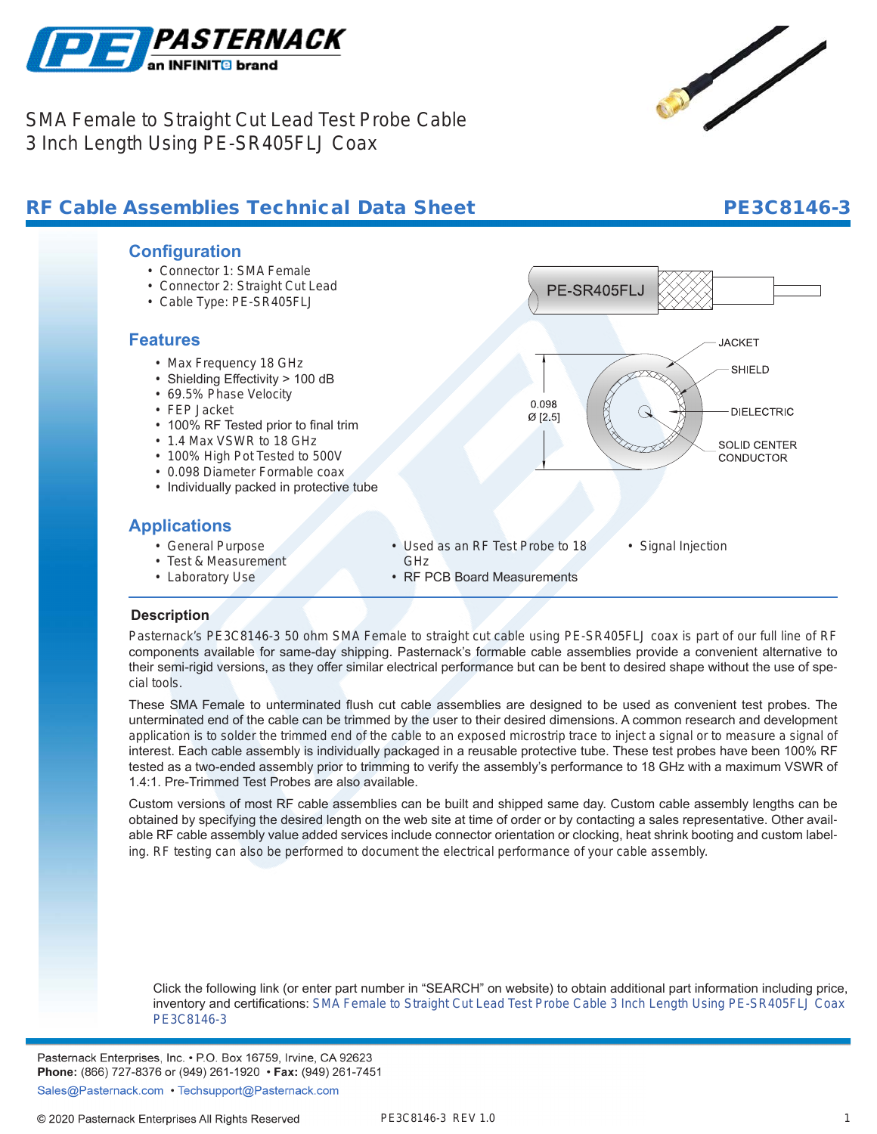

SMA Female to Straight Cut Lead Test Probe Cable 3 Inch Length Using PE-SR405FLJ Coax

# RF Cable Assemblies Technical Data Sheet **PE3C8146-3**



- Connector 1: SMA Female
- Connector 2: Straight Cut Lead
- Cable Type: PE-SR405FLJ

### **Features**

- Max Frequency 18 GHz
- Shielding Effectivity > 100 dB
- 69.5% Phase Velocity
- FEP Jacket
- 100% RF Tested prior to final trim
- 1.4 Max VSWR to 18 GHz
- 100% High Pot Tested to 500V
- 0.098 Diameter Formable coax
- Individually packed in protective tube

## **Applications**

- General Purpose
- Test & Measurement
- Laboratory Use

### **Description**

**.**

Pasternack's PE3C8146-3 50 ohm SMA Female to straight cut cable using PE-SR405FLJ coax is part of our full line of RF components available for same-day shipping. Pasternack's formable cable assemblies provide a convenient alternative to their semi-rigid versions, as they offer similar electrical performance but can be bent to desired shape without the use of special tools.

These SMA Female to unterminated flush cut cable assemblies are designed to be used as convenient test probes. The unterminated end of the cable can be trimmed by the user to their desired dimensions. A common research and development application is to solder the trimmed end of the cable to an exposed microstrip trace to inject a signal or to measure a signal of interest. Each cable assembly is individually packaged in a reusable protective tube. These test probes have been 100% RF tested as a two-ended assembly prior to trimming to verify the assembly's performance to 18 GHz with a maximum VSWR of 1.4:1. Pre-Trimmed Test Probes are also available.

Custom versions of most RF cable assemblies can be built and shipped same day. Custom cable assembly lengths can be obtained by specifying the desired length on the web site at time of order or by contacting a sales representative. Other available RF cable assembly value added services include connector orientation or clocking, heat shrink booting and custom labeling. RF testing can also be performed to document the electrical performance of your cable assembly.

Click the following link (or enter part number in "SEARCH" on website) to obtain additional part information including price, inventory and certifications: [SMA Female to Straight Cut Lead Test Probe Cable 3 Inch Length Using PE-SR405FLJ Coax](https://www.pasternack.com/sma-female-straight-cut-sexless-pe-sr405flj-cable-assembly-pe3c8146-3-p.aspx) [PE3C8146-3](https://www.pasternack.com/sma-female-straight-cut-sexless-pe-sr405flj-cable-assembly-pe3c8146-3-p.aspx)

Pasternack Enterprises, Inc. • P.O. Box 16759, Irvine, CA 92623 Phone: (866) 727-8376 or (949) 261-1920 • Fax: (949) 261-7451

Sales@Pasternack.com • Techsupport@Pasternack.com





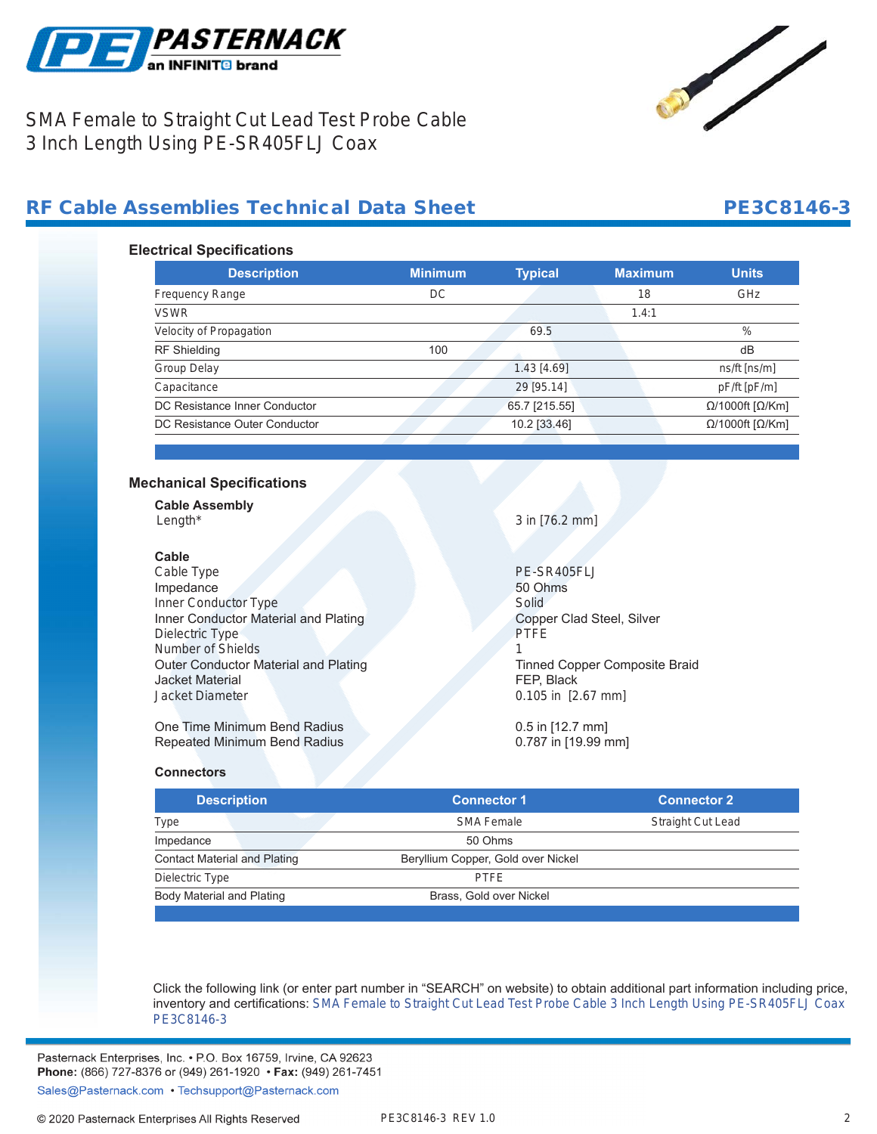



SMA Female to Straight Cut Lead Test Probe Cable 3 Inch Length Using PE-SR405FLJ Coax

## RF Cable Assemblies Technical Data Sheet **PE3C8146-3**

### **Electrical Specifications**

| <b>Description</b>            | <b>Minimum</b> | <b>Typical</b> | <b>Maximum</b> | <b>Units</b>                     |
|-------------------------------|----------------|----------------|----------------|----------------------------------|
| <b>Frequency Range</b>        | DC             |                | 18             | GHz                              |
| <b>VSWR</b>                   |                |                | 1.4:1          |                                  |
| Velocity of Propagation       |                | 69.5           |                | $\%$                             |
| <b>RF</b> Shielding           | 100            |                |                | dB                               |
| <b>Group Delay</b>            |                | 1.43 [4.69]    |                | $ns/ft$ [ns/m]                   |
| Capacitance                   |                | 29 [95.14]     |                | pF/ft [pF/m]                     |
| DC Resistance Inner Conductor |                | 65.7 [215.55]  |                | $\Omega$ /1000ft [ $\Omega$ /Km] |
| DC Resistance Outer Conductor |                | 10.2 [33.46]   |                | $\Omega$ /1000ft [ $\Omega$ /Km] |

### **Mechanical Specifications**

| <b>Cable Assembly</b> |  |
|-----------------------|--|
| Lenath*               |  |

### **Cable**

Cable Type PE-SR405FLJ Impedance 50 Ohms Inner Conductor Type Solid Inner Conductor Material and Plating Copper Clad Steel, Silver Dielectric Type PTFE Number of Shields 1 Outer Conductor Material and Plating Tinned Copper Composite Braid Jacket Material FEP, Black Jacket Diameter 0.105 in [2.67 mm]

One Time Minimum Bend Radius 0.5 in [12.7 mm]<br>
Repeated Minimum Bend Radius 0.787 in [19.99 mm] Repeated Minimum Bend Radius

 $3$  in  $[76.2$  mm]

### **Connectors**

| <b>Description</b>                  | <b>Connector 1</b>                 | <b>Connector 2</b>       |
|-------------------------------------|------------------------------------|--------------------------|
| Type                                | <b>SMA Female</b>                  | <b>Straight Cut Lead</b> |
| Impedance                           | 50 Ohms                            |                          |
| <b>Contact Material and Plating</b> | Beryllium Copper, Gold over Nickel |                          |
| Dielectric Type                     | <b>PTFF</b>                        |                          |
| Body Material and Plating           | Brass, Gold over Nickel            |                          |

Click the following link (or enter part number in "SEARCH" on website) to obtain additional part information including price, inventory and certifications: [SMA Female to Straight Cut Lead Test Probe Cable 3 Inch Length Using PE-SR405FLJ Coax](https://www.pasternack.com/sma-female-straight-cut-sexless-pe-sr405flj-cable-assembly-pe3c8146-3-p.aspx) [PE3C8146-3](https://www.pasternack.com/sma-female-straight-cut-sexless-pe-sr405flj-cable-assembly-pe3c8146-3-p.aspx)

Pasternack Enterprises, Inc. • P.O. Box 16759, Irvine, CA 92623 Phone: (866) 727-8376 or (949) 261-1920 • Fax: (949) 261-7451

Sales@Pasternack.com • Techsupport@Pasternack.com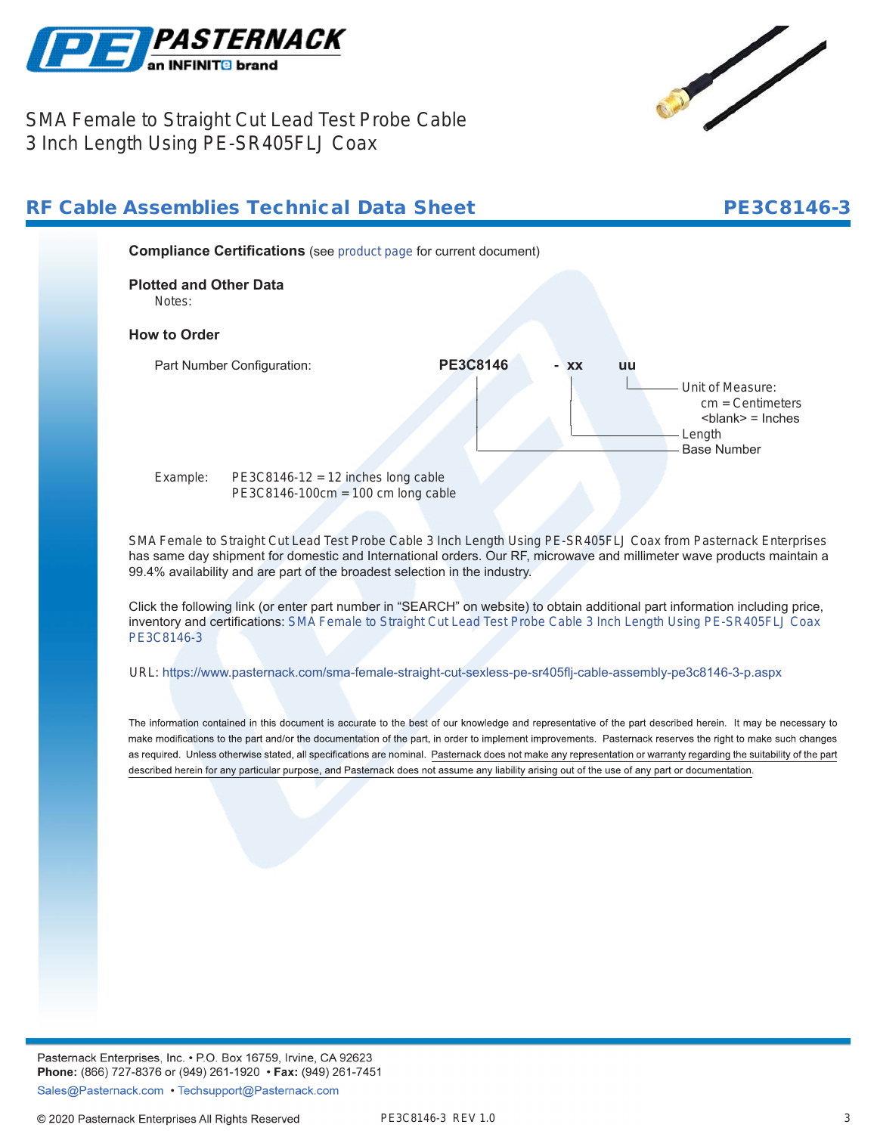



## SMA Female to Straight Cut Lead Test Probe Cable 3 Inch Length Using PE-SR405FLJ Coax



Click the following link (or enter part number in "SEARCH" on website) to obtain additional part information including price, inventory and certifications: [SMA Female to Straight Cut Lead Test Probe Cable 3 Inch Length Using PE-SR405FLJ Coax](https://www.pasternack.com/sma-female-straight-cut-sexless-pe-sr405flj-cable-assembly-pe3c8146-3-p.aspx) [PE3C8146-3](https://www.pasternack.com/sma-female-straight-cut-sexless-pe-sr405flj-cable-assembly-pe3c8146-3-p.aspx)

URL: <https://www.pasternack.com/sma-female-straight-cut-sexless-pe-sr405flj-cable-assembly-pe3c8146-3-p.aspx>

The information contained in this document is accurate to the best of our knowledge and representative of the part described herein. It may be necessary to make modifications to the part and/or the documentation of the part, in order to implement improvements. Pasternack reserves the right to make such changes as required. Unless otherwise stated, all specifications are nominal. Pasternack does not make any representation or warranty regarding the suitability of the part described herein for any particular purpose, and Pasternack does not assume any liability arising out of the use of any part or documentation.

Pasternack Enterprises, Inc. • P.O. Box 16759, Irvine, CA 92623 Phone: (866) 727-8376 or (949) 261-1920 • Fax: (949) 261-7451 Sales@Pasternack.com • Techsupport@Pasternack.com